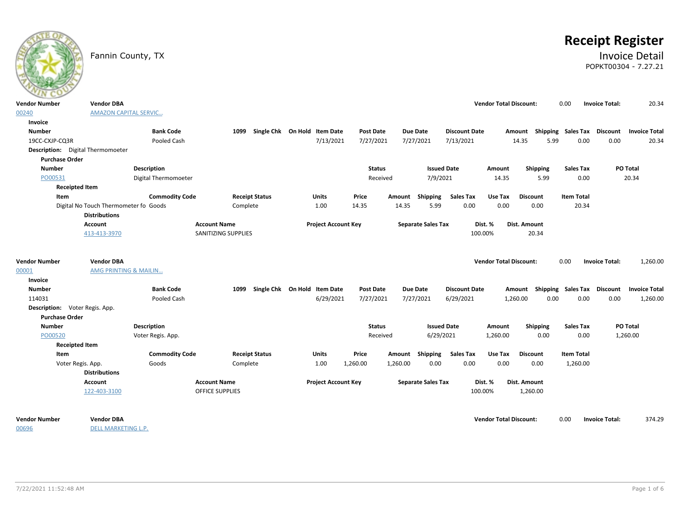|                                   | Fannin County, TX                          |                       |                                               |                       |                              |          |                  |                 |                           |                      |                               |                                    |      |                   |                       | <b>Receipt Register</b><br><b>Invoice Detail</b><br>POPKT00304 - 7.27.21 |
|-----------------------------------|--------------------------------------------|-----------------------|-----------------------------------------------|-----------------------|------------------------------|----------|------------------|-----------------|---------------------------|----------------------|-------------------------------|------------------------------------|------|-------------------|-----------------------|--------------------------------------------------------------------------|
| <b>Vendor Number</b>              | <b>Vendor DBA</b>                          |                       |                                               |                       |                              |          |                  |                 |                           |                      | <b>Vendor Total Discount:</b> |                                    | 0.00 |                   | <b>Invoice Total:</b> | 20.34                                                                    |
| 00240                             | <b>AMAZON CAPITAL SERVIC</b>               |                       |                                               |                       |                              |          |                  |                 |                           |                      |                               |                                    |      |                   |                       |                                                                          |
| Invoice                           |                                            |                       |                                               |                       |                              |          |                  |                 |                           |                      |                               |                                    |      |                   |                       |                                                                          |
| <b>Number</b>                     |                                            | <b>Bank Code</b>      | 1099                                          |                       | Single Chk On Hold Item Date |          | <b>Post Date</b> | <b>Due Date</b> |                           | <b>Discount Date</b> |                               | Amount Shipping Sales Tax Discount |      |                   |                       | <b>Invoice Total</b>                                                     |
| 19CC-CXJP-CQ3R                    |                                            | Pooled Cash           |                                               |                       | 7/13/2021                    |          | 7/27/2021        | 7/27/2021       |                           | 7/13/2021            |                               | 14.35                              | 5.99 | 0.00              | 0.00                  | 20.34                                                                    |
|                                   | <b>Description:</b> Digital Thermomoeter   |                       |                                               |                       |                              |          |                  |                 |                           |                      |                               |                                    |      |                   |                       |                                                                          |
| <b>Purchase Order</b>             |                                            |                       |                                               |                       |                              |          |                  |                 |                           |                      |                               |                                    |      |                   |                       |                                                                          |
| <b>Number</b>                     |                                            | <b>Description</b>    |                                               |                       |                              |          | <b>Status</b>    |                 | <b>Issued Date</b>        |                      | Amount                        | <b>Shipping</b>                    |      | <b>Sales Tax</b>  |                       | PO Total                                                                 |
| PO00531                           |                                            | Digital Thermomoeter  |                                               |                       |                              |          | Received         |                 | 7/9/2021                  |                      | 14.35                         | 5.99                               |      | 0.00              |                       | 20.34                                                                    |
| Item                              | <b>Receipted Item</b>                      | <b>Commodity Code</b> |                                               | <b>Receipt Status</b> | <b>Units</b>                 | Price    |                  |                 | Amount Shipping           | <b>Sales Tax</b>     | Use Tax                       | <b>Discount</b>                    |      | <b>Item Total</b> |                       |                                                                          |
|                                   | Digital No Touch Thermometer fo Goods      |                       | Complete                                      |                       | 1.00                         | 14.35    |                  | 14.35           | 5.99                      | 0.00                 | 0.00                          | 0.00                               |      | 20.34             |                       |                                                                          |
|                                   | <b>Distributions</b>                       |                       |                                               |                       |                              |          |                  |                 |                           |                      |                               |                                    |      |                   |                       |                                                                          |
|                                   | <b>Account</b>                             |                       | <b>Account Name</b>                           |                       | <b>Project Account Key</b>   |          |                  |                 | <b>Separate Sales Tax</b> |                      | Dist. %                       | Dist. Amount                       |      |                   |                       |                                                                          |
|                                   | 413-413-3970                               |                       | SANITIZING SUPPLIES                           |                       |                              |          |                  |                 |                           |                      | 100.00%                       | 20.34                              |      |                   |                       |                                                                          |
| Vendor Number<br>00001<br>Invoice | <b>Vendor DBA</b><br>AMG PRINTING & MAILIN |                       |                                               |                       |                              |          |                  |                 |                           |                      | <b>Vendor Total Discount:</b> |                                    | 0.00 |                   | <b>Invoice Total:</b> | 1,260.00                                                                 |
| <b>Number</b>                     |                                            | <b>Bank Code</b>      | 1099                                          |                       | Single Chk On Hold Item Date |          | <b>Post Date</b> | Due Date        |                           | <b>Discount Date</b> |                               | Amount Shipping Sales Tax          |      |                   | Discount              | <b>Invoice Total</b>                                                     |
| 114031                            |                                            | Pooled Cash           |                                               |                       | 6/29/2021                    |          | 7/27/2021        | 7/27/2021       |                           | 6/29/2021            |                               | 1,260.00                           | 0.00 | 0.00              | 0.00                  | 1,260.00                                                                 |
| Description: Voter Regis. App.    |                                            |                       |                                               |                       |                              |          |                  |                 |                           |                      |                               |                                    |      |                   |                       |                                                                          |
| <b>Purchase Order</b>             |                                            |                       |                                               |                       |                              |          |                  |                 |                           |                      |                               |                                    |      |                   |                       |                                                                          |
| <b>Number</b>                     |                                            | <b>Description</b>    |                                               |                       |                              |          | <b>Status</b>    |                 | <b>Issued Date</b>        |                      | Amount                        | <b>Shipping</b>                    |      | <b>Sales Tax</b>  |                       | PO Total                                                                 |
| PO00520                           |                                            | Voter Regis. App.     |                                               |                       |                              |          | Received         |                 | 6/29/2021                 |                      | 1,260.00                      | 0.00                               |      | 0.00              |                       | 1,260.00                                                                 |
|                                   | <b>Receipted Item</b>                      |                       |                                               |                       |                              |          |                  |                 |                           |                      |                               |                                    |      |                   |                       |                                                                          |
| Item                              |                                            | <b>Commodity Code</b> |                                               | <b>Receipt Status</b> | <b>Units</b>                 | Price    |                  |                 | Amount Shipping           | <b>Sales Tax</b>     | Use Tax                       | <b>Discount</b>                    |      | <b>Item Total</b> |                       |                                                                          |
|                                   | Voter Regis. App.<br><b>Distributions</b>  | Goods                 | Complete                                      |                       | 1.00                         | 1,260.00 |                  | 1,260.00        | 0.00                      | 0.00                 | 0.00                          | 0.00                               |      | 1,260.00          |                       |                                                                          |
|                                   | <b>Account</b><br>122-403-3100             |                       | <b>Account Name</b><br><b>OFFICE SUPPLIES</b> |                       | <b>Project Account Key</b>   |          |                  |                 | <b>Separate Sales Tax</b> |                      | Dist. %<br>100.00%            | Dist. Amount<br>1,260.00           |      |                   |                       |                                                                          |
| Vendor Number                     | <b>Vendor DBA</b>                          |                       |                                               |                       |                              |          |                  |                 |                           |                      | <b>Vendor Total Discount:</b> |                                    | 0.00 |                   | <b>Invoice Total:</b> | 374.29                                                                   |

7/22/2021 11:52:48 AM Page 1 of 6

DELL MARKETING L.P.

00696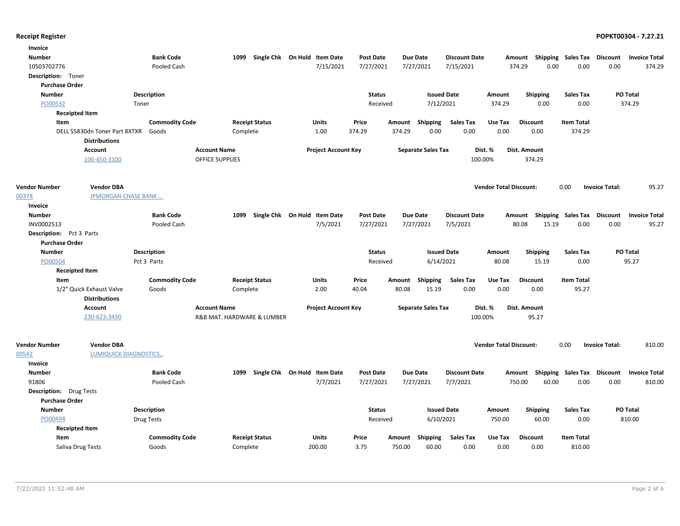| Invoice                   |                                                       |                       |                            |                              |                            |                  |        |                           |                      |                               |                           |                           |                       |                      |
|---------------------------|-------------------------------------------------------|-----------------------|----------------------------|------------------------------|----------------------------|------------------|--------|---------------------------|----------------------|-------------------------------|---------------------------|---------------------------|-----------------------|----------------------|
| <b>Number</b>             |                                                       | <b>Bank Code</b>      | 1099                       | Single Chk On Hold Item Date |                            | Post Date        |        | <b>Due Date</b>           | <b>Discount Date</b> |                               | Amount                    | <b>Shipping Sales Tax</b> | Discount              | <b>Invoice Total</b> |
| 10503702776               |                                                       | Pooled Cash           |                            |                              | 7/15/2021                  | 7/27/2021        |        | 7/27/2021                 | 7/15/2021            |                               | 374.29<br>0.00            | 0.00                      | 0.00                  | 374.29               |
| <b>Description:</b> Toner |                                                       |                       |                            |                              |                            |                  |        |                           |                      |                               |                           |                           |                       |                      |
| <b>Purchase Order</b>     |                                                       |                       |                            |                              |                            |                  |        |                           |                      |                               |                           |                           |                       |                      |
| <b>Number</b>             |                                                       | Description           |                            |                              |                            | <b>Status</b>    |        | <b>Issued Date</b>        |                      | Amount                        | <b>Shipping</b>           | <b>Sales Tax</b>          |                       | PO Total             |
| PO00532                   |                                                       | Toner                 |                            |                              |                            | Received         |        | 7/12/2021                 |                      | 374.29                        | 0.00                      | 0.00                      |                       | 374.29               |
| <b>Receipted Item</b>     |                                                       |                       |                            |                              |                            |                  |        |                           |                      |                               |                           |                           |                       |                      |
| Item                      |                                                       | <b>Commodity Code</b> |                            | <b>Receipt Status</b>        | Units                      | Price            | Amount | Shipping                  | <b>Sales Tax</b>     | Use Tax                       | <b>Discount</b>           | <b>Item Total</b>         |                       |                      |
|                           | DELL S5830dn Toner Part 8XTXR<br><b>Distributions</b> | Goods                 | Complete                   |                              | 1.00                       | 374.29           | 374.29 | 0.00                      | 0.00                 | 0.00                          | 0.00                      | 374.29                    |                       |                      |
|                           | <b>Account</b>                                        |                       | <b>Account Name</b>        |                              | <b>Project Account Key</b> |                  |        | <b>Separate Sales Tax</b> |                      | Dist. %                       | Dist. Amount              |                           |                       |                      |
|                           | 100-450-3100                                          |                       | <b>OFFICE SUPPLIES</b>     |                              |                            |                  |        |                           | 100.00%              |                               | 374.29                    |                           |                       |                      |
| <b>Vendor Number</b>      | <b>Vendor DBA</b>                                     |                       |                            |                              |                            |                  |        |                           |                      | <b>Vendor Total Discount:</b> |                           | 0.00                      | <b>Invoice Total:</b> | 95.27                |
| 00378                     | <b>JPMORGAN CHASE BANK</b>                            |                       |                            |                              |                            |                  |        |                           |                      |                               |                           |                           |                       |                      |
| Invoice                   |                                                       |                       |                            |                              |                            |                  |        |                           |                      |                               |                           |                           |                       |                      |
| <b>Number</b>             |                                                       | <b>Bank Code</b>      | 1099                       | Single Chk On Hold Item Date |                            | <b>Post Date</b> |        | <b>Due Date</b>           | <b>Discount Date</b> |                               | Amount Shipping Sales Tax |                           | Discount              | <b>Invoice Total</b> |
| INV0002513                |                                                       | Pooled Cash           |                            |                              | 7/5/2021                   | 7/27/2021        |        | 7/27/2021                 | 7/5/2021             |                               | 80.08<br>15.19            | 0.00                      | 0.00                  | 95.27                |
| Description: Pct 3 Parts  |                                                       |                       |                            |                              |                            |                  |        |                           |                      |                               |                           |                           |                       |                      |
| <b>Purchase Order</b>     |                                                       |                       |                            |                              |                            |                  |        |                           |                      |                               |                           |                           |                       |                      |
| <b>Number</b>             |                                                       | Description           |                            |                              |                            | <b>Status</b>    |        | <b>Issued Date</b>        |                      | Amount                        | <b>Shipping</b>           | <b>Sales Tax</b>          |                       | PO Total             |
| PO00504                   |                                                       | Pct 3 Parts           |                            |                              |                            | Received         |        | 6/14/2021                 |                      | 80.08                         | 15.19                     | 0.00                      |                       | 95.27                |
| <b>Receipted Item</b>     |                                                       |                       |                            |                              |                            |                  |        |                           |                      |                               |                           |                           |                       |                      |
| Item                      |                                                       | <b>Commodity Code</b> |                            | <b>Receipt Status</b>        | <b>Units</b>               | Price            | Amount | Shipping                  | <b>Sales Tax</b>     | Use Tax                       | <b>Discount</b>           | <b>Item Total</b>         |                       |                      |
|                           | 1/2" Quick Exhaust Valve                              | Goods                 | Complete                   |                              | 2.00                       | 40.04            | 80.08  | 15.19                     | 0.00                 | 0.00                          | 0.00                      | 95.27                     |                       |                      |
|                           | <b>Distributions</b>                                  |                       |                            |                              |                            |                  |        |                           |                      |                               |                           |                           |                       |                      |
|                           | <b>Account</b>                                        |                       | <b>Account Name</b>        |                              | <b>Project Account Key</b> |                  |        | <b>Separate Sales Tax</b> |                      | Dist. %                       | Dist. Amount              |                           |                       |                      |
|                           | 230-623-3430                                          |                       | R&B MAT. HARDWARE & LUMBER |                              |                            |                  |        |                           | 100.00%              |                               | 95.27                     |                           |                       |                      |
| <b>Vendor Number</b>      | <b>Vendor DBA</b>                                     |                       |                            |                              |                            |                  |        |                           |                      | <b>Vendor Total Discount:</b> |                           | 0.00                      | <b>Invoice Total:</b> | 810.00               |
| 00542                     | <b>LUMIQUICK DIAGNOSTICS,</b>                         |                       |                            |                              |                            |                  |        |                           |                      |                               |                           |                           |                       |                      |
| Invoice                   |                                                       |                       |                            |                              |                            |                  |        |                           |                      |                               |                           |                           |                       |                      |
| <b>Number</b>             |                                                       | <b>Bank Code</b>      | 1099                       | Single Chk On Hold Item Date |                            | Post Date        |        | <b>Due Date</b>           | <b>Discount Date</b> |                               | Amount Shipping Sales Tax |                           | Discount              | <b>Invoice Total</b> |
| 91806                     |                                                       | Pooled Cash           |                            |                              | 7/7/2021                   | 7/27/2021        |        | 7/27/2021                 | 7/7/2021             |                               | 750.00<br>60.00           | 0.00                      | 0.00                  | 810.00               |
| Description: Drug Tests   |                                                       |                       |                            |                              |                            |                  |        |                           |                      |                               |                           |                           |                       |                      |
| <b>Purchase Order</b>     |                                                       |                       |                            |                              |                            |                  |        |                           |                      |                               |                           |                           |                       |                      |
| <b>Number</b>             |                                                       | Description           |                            |                              |                            | <b>Status</b>    |        | <b>Issued Date</b>        |                      | Amount                        | <b>Shipping</b>           | <b>Sales Tax</b>          |                       | PO Total             |
| PO00494                   |                                                       | <b>Drug Tests</b>     |                            |                              |                            | Received         |        | 6/10/2021                 |                      | 750.00                        | 60.00                     | 0.00                      |                       | 810.00               |
| <b>Receipted Item</b>     |                                                       |                       |                            |                              |                            |                  |        |                           |                      |                               |                           |                           |                       |                      |
| Item                      |                                                       | <b>Commodity Code</b> |                            | <b>Receipt Status</b>        | Units                      | Price            | Amount | <b>Shipping</b>           | <b>Sales Tax</b>     | Use Tax                       | <b>Discount</b>           | <b>Item Total</b>         |                       |                      |
|                           | Saliva Drug Tests                                     | Goods                 | Complete                   |                              | 200.00                     | 3.75             | 750.00 | 60.00                     | 0.00                 | 0.00                          | 0.00                      | 810.00                    |                       |                      |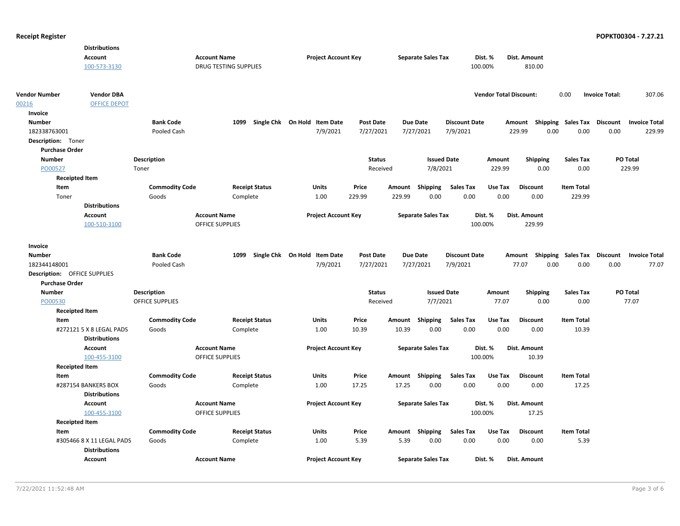|                              | <b>Distributions</b>                             |                        |                              |                       |                              |                  |        |                           |                      |                               |                 |                                    |                                 |
|------------------------------|--------------------------------------------------|------------------------|------------------------------|-----------------------|------------------------------|------------------|--------|---------------------------|----------------------|-------------------------------|-----------------|------------------------------------|---------------------------------|
|                              | <b>Account</b>                                   |                        | <b>Account Name</b>          |                       | <b>Project Account Key</b>   |                  |        | <b>Separate Sales Tax</b> |                      | Dist. %                       | Dist. Amount    |                                    |                                 |
|                              | 100-573-3130                                     |                        | <b>DRUG TESTING SUPPLIES</b> |                       |                              |                  |        |                           |                      | 100.00%                       | 810.00          |                                    |                                 |
|                              |                                                  |                        |                              |                       |                              |                  |        |                           |                      |                               |                 |                                    |                                 |
| <b>Vendor Number</b>         | <b>Vendor DBA</b>                                |                        |                              |                       |                              |                  |        |                           |                      | <b>Vendor Total Discount:</b> |                 | 0.00                               | <b>Invoice Total:</b><br>307.06 |
| 00216                        | <b>OFFICE DEPOT</b>                              |                        |                              |                       |                              |                  |        |                           |                      |                               |                 |                                    |                                 |
| Invoice                      |                                                  |                        |                              |                       |                              |                  |        |                           |                      |                               |                 |                                    |                                 |
| <b>Number</b>                |                                                  | <b>Bank Code</b>       | 1099                         |                       | Single Chk On Hold Item Date | <b>Post Date</b> |        | <b>Due Date</b>           | <b>Discount Date</b> |                               |                 | Amount Shipping Sales Tax Discount | <b>Invoice Total</b>            |
| 182338763001                 |                                                  | Pooled Cash            |                              |                       | 7/9/2021                     | 7/27/2021        |        | 7/27/2021                 | 7/9/2021             |                               | 229.99          | 0.00<br>0.00                       | 0.00<br>229.99                  |
| Description: Toner           |                                                  |                        |                              |                       |                              |                  |        |                           |                      |                               |                 |                                    |                                 |
| <b>Purchase Order</b>        |                                                  |                        |                              |                       |                              |                  |        |                           |                      |                               |                 |                                    |                                 |
| <b>Number</b>                |                                                  | Description            |                              |                       |                              | <b>Status</b>    |        | <b>Issued Date</b>        |                      | Amount                        | <b>Shipping</b> | Sales Tax                          | PO Total                        |
| PO00527                      |                                                  | Toner                  |                              |                       |                              | Received         |        | 7/8/2021                  |                      | 229.99                        | 0.00            | 0.00                               | 229.99                          |
| <b>Receipted Item</b>        |                                                  |                        |                              |                       |                              |                  |        |                           |                      |                               |                 |                                    |                                 |
| Item                         |                                                  | <b>Commodity Code</b>  |                              | <b>Receipt Status</b> | Units                        | Price            |        | Amount Shipping           | <b>Sales Tax</b>     | Use Tax                       | <b>Discount</b> | <b>Item Total</b>                  |                                 |
| Toner                        |                                                  | Goods                  |                              | Complete              | 1.00                         | 229.99           | 229.99 | 0.00                      | 0.00                 | 0.00                          | 0.00            | 229.99                             |                                 |
|                              | <b>Distributions</b>                             |                        |                              |                       |                              |                  |        |                           |                      |                               |                 |                                    |                                 |
|                              | Account                                          |                        | <b>Account Name</b>          |                       | <b>Project Account Key</b>   |                  |        | <b>Separate Sales Tax</b> |                      | Dist. %                       | Dist. Amount    |                                    |                                 |
|                              | 100-510-3100                                     |                        | <b>OFFICE SUPPLIES</b>       |                       |                              |                  |        |                           |                      | 100.00%                       | 229.99          |                                    |                                 |
|                              |                                                  |                        |                              |                       |                              |                  |        |                           |                      |                               |                 |                                    |                                 |
| Invoice                      |                                                  |                        |                              |                       |                              |                  |        |                           |                      |                               |                 |                                    |                                 |
| <b>Number</b>                |                                                  | <b>Bank Code</b>       | 1099                         |                       | Single Chk On Hold Item Date | <b>Post Date</b> |        | <b>Due Date</b>           | <b>Discount Date</b> |                               |                 | Amount Shipping Sales Tax Discount | <b>Invoice Total</b>            |
| 182344148001                 |                                                  | Pooled Cash            |                              |                       | 7/9/2021                     | 7/27/2021        |        | 7/27/2021                 | 7/9/2021             |                               | 77.07           | 0.00<br>0.00                       | 0.00<br>77.07                   |
| Description: OFFICE SUPPLIES |                                                  |                        |                              |                       |                              |                  |        |                           |                      |                               |                 |                                    |                                 |
| <b>Purchase Order</b>        |                                                  |                        |                              |                       |                              |                  |        |                           |                      |                               |                 |                                    |                                 |
| <b>Number</b>                |                                                  | Description            |                              |                       |                              | <b>Status</b>    |        | <b>Issued Date</b>        |                      | Amount                        | <b>Shipping</b> | Sales Tax                          | PO Total                        |
| PO00530                      |                                                  | <b>OFFICE SUPPLIES</b> |                              |                       |                              | Received         |        | 7/7/2021                  |                      | 77.07                         | 0.00            | 0.00                               | 77.07                           |
| <b>Receipted Item</b>        |                                                  |                        |                              |                       |                              |                  |        |                           |                      |                               |                 |                                    |                                 |
| Item                         |                                                  | <b>Commodity Code</b>  |                              | <b>Receipt Status</b> | <b>Units</b>                 | Price            |        | Amount Shipping           | <b>Sales Tax</b>     | Use Tax                       | <b>Discount</b> | <b>Item Total</b>                  |                                 |
|                              | #272121 5 X 8 LEGAL PADS<br><b>Distributions</b> | Goods                  |                              | Complete              | 1.00                         | 10.39            | 10.39  | 0.00                      | 0.00                 | 0.00                          | 0.00            | 10.39                              |                                 |
|                              | Account                                          |                        | <b>Account Name</b>          |                       | <b>Project Account Key</b>   |                  |        | <b>Separate Sales Tax</b> |                      | Dist. %                       | Dist. Amount    |                                    |                                 |
|                              | 100-455-3100                                     |                        | <b>OFFICE SUPPLIES</b>       |                       |                              |                  |        |                           |                      | 100.00%                       | 10.39           |                                    |                                 |
| <b>Receipted Item</b>        |                                                  |                        |                              |                       |                              |                  |        |                           |                      |                               |                 |                                    |                                 |
| Item                         |                                                  | <b>Commodity Code</b>  |                              | <b>Receipt Status</b> | <b>Units</b>                 | Price            |        | Amount Shipping           | Sales Tax            | Use Tax                       | <b>Discount</b> | <b>Item Total</b>                  |                                 |
|                              | #287154 BANKERS BOX                              | Goods                  |                              | Complete              | 1.00                         | 17.25            | 17.25  | 0.00                      | 0.00                 | 0.00                          | 0.00            | 17.25                              |                                 |
|                              | <b>Distributions</b>                             |                        |                              |                       |                              |                  |        |                           |                      |                               |                 |                                    |                                 |
|                              | <b>Account</b>                                   |                        | <b>Account Name</b>          |                       | <b>Project Account Key</b>   |                  |        | <b>Separate Sales Tax</b> |                      | Dist. %                       | Dist. Amount    |                                    |                                 |
|                              | 100-455-3100                                     |                        | <b>OFFICE SUPPLIES</b>       |                       |                              |                  |        |                           |                      | 100.00%                       | 17.25           |                                    |                                 |
| <b>Receipted Item</b>        |                                                  |                        |                              |                       |                              |                  |        |                           |                      |                               |                 |                                    |                                 |
| Item                         |                                                  | <b>Commodity Code</b>  |                              | <b>Receipt Status</b> | Units                        | Price            |        | Amount Shipping           | Sales Tax            | Use Tax                       | <b>Discount</b> | <b>Item Total</b>                  |                                 |
|                              | #305466 8 X 11 LEGAL PADS                        | Goods                  |                              | Complete              | 1.00                         | 5.39             | 5.39   | 0.00                      | 0.00                 | 0.00                          | 0.00            | 5.39                               |                                 |
|                              | <b>Distributions</b>                             |                        |                              |                       |                              |                  |        |                           |                      |                               |                 |                                    |                                 |
|                              | Account                                          |                        | <b>Account Name</b>          |                       | <b>Project Account Key</b>   |                  |        | <b>Separate Sales Tax</b> |                      | Dist. %                       | Dist. Amount    |                                    |                                 |
|                              |                                                  |                        |                              |                       |                              |                  |        |                           |                      |                               |                 |                                    |                                 |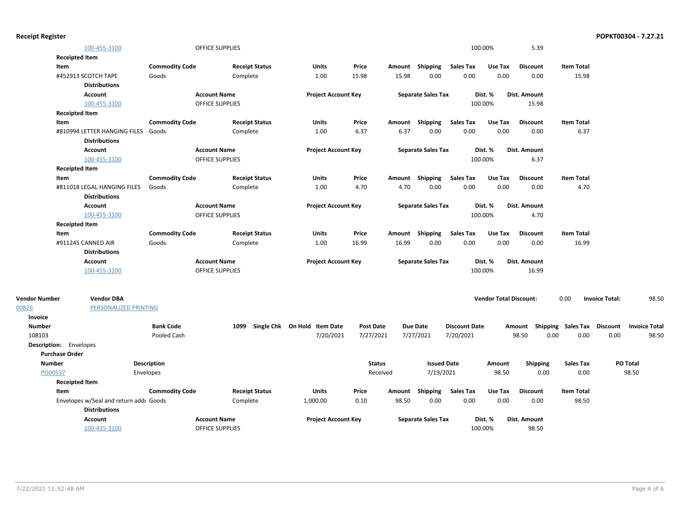| <b>Receipt Register</b> |                                        |                       |                        |                                   |                  |       |                           |                      |                               |                 |                                    |                       | POPKT00304 - 7.27.21 |
|-------------------------|----------------------------------------|-----------------------|------------------------|-----------------------------------|------------------|-------|---------------------------|----------------------|-------------------------------|-----------------|------------------------------------|-----------------------|----------------------|
|                         | 100-455-3100                           |                       | OFFICE SUPPLIES        |                                   |                  |       |                           |                      | 100.00%                       | 5.39            |                                    |                       |                      |
|                         | <b>Receipted Item</b>                  |                       |                        |                                   |                  |       |                           |                      |                               |                 |                                    |                       |                      |
|                         | Item                                   | <b>Commodity Code</b> | <b>Receipt Status</b>  | <b>Units</b>                      | Price            |       | Amount Shipping           | <b>Sales Tax</b>     | Use Tax                       | <b>Discount</b> | <b>Item Total</b>                  |                       |                      |
|                         | #452913 SCOTCH TAPE                    | Goods                 | Complete               | 1.00                              | 15.98            | 15.98 | 0.00                      | 0.00                 | 0.00                          | 0.00            | 15.98                              |                       |                      |
|                         | <b>Distributions</b>                   |                       |                        |                                   |                  |       |                           |                      |                               |                 |                                    |                       |                      |
|                         | Account                                |                       | <b>Account Name</b>    | <b>Project Account Key</b>        |                  |       | <b>Separate Sales Tax</b> |                      | Dist. %                       | Dist. Amount    |                                    |                       |                      |
|                         | 100-455-3100                           |                       | OFFICE SUPPLIES        |                                   |                  |       |                           |                      | 100.00%                       | 15.98           |                                    |                       |                      |
|                         | <b>Receipted Item</b>                  |                       |                        |                                   |                  |       |                           |                      |                               |                 |                                    |                       |                      |
|                         | Item                                   | <b>Commodity Code</b> | <b>Receipt Status</b>  | <b>Units</b>                      | Price            |       | Amount Shipping           | <b>Sales Tax</b>     | Use Tax                       | <b>Discount</b> | <b>Item Total</b>                  |                       |                      |
|                         | #810994 LETTER HANGING FILES           | Goods                 | Complete               | 1.00                              | 6.37             | 6.37  | 0.00                      | 0.00                 | 0.00                          | 0.00            | 6.37                               |                       |                      |
|                         | <b>Distributions</b>                   |                       |                        |                                   |                  |       |                           |                      |                               |                 |                                    |                       |                      |
|                         | Account                                |                       | <b>Account Name</b>    | <b>Project Account Key</b>        |                  |       | <b>Separate Sales Tax</b> |                      | Dist. %                       | Dist. Amount    |                                    |                       |                      |
|                         | 100-455-3100                           |                       | <b>OFFICE SUPPLIES</b> |                                   |                  |       |                           |                      | 100.00%                       | 6.37            |                                    |                       |                      |
|                         | <b>Receipted Item</b>                  |                       |                        |                                   |                  |       |                           |                      |                               |                 |                                    |                       |                      |
|                         | Item                                   | <b>Commodity Code</b> | <b>Receipt Status</b>  | Units                             | Price            |       | Amount Shipping           | Sales Tax            | Use Tax                       | <b>Discount</b> | <b>Item Total</b>                  |                       |                      |
|                         | #811018 LEGAL HANGING FILES            | Goods                 | Complete               | 1.00                              | 4.70             | 4.70  | 0.00                      | 0.00                 | 0.00                          | 0.00            | 4.70                               |                       |                      |
|                         | <b>Distributions</b>                   |                       |                        |                                   |                  |       |                           |                      |                               |                 |                                    |                       |                      |
|                         | Account                                |                       | <b>Account Name</b>    | <b>Project Account Key</b>        |                  |       | <b>Separate Sales Tax</b> |                      | Dist. %                       | Dist. Amount    |                                    |                       |                      |
|                         | 100-455-3100                           |                       | OFFICE SUPPLIES        |                                   |                  |       |                           |                      | 100.00%                       | 4.70            |                                    |                       |                      |
|                         | <b>Receipted Item</b>                  |                       |                        |                                   |                  |       |                           |                      |                               |                 |                                    |                       |                      |
|                         | Item                                   | <b>Commodity Code</b> | <b>Receipt Status</b>  | Units                             | Price            |       | Amount Shipping           | <b>Sales Tax</b>     | Use Tax                       | <b>Discount</b> | <b>Item Total</b>                  |                       |                      |
|                         | #911245 CANNED AIR                     | Goods                 | Complete               | 1.00                              | 16.99            | 16.99 | 0.00                      | 0.00                 | 0.00                          | 0.00            | 16.99                              |                       |                      |
|                         | <b>Distributions</b>                   |                       |                        |                                   |                  |       |                           |                      |                               |                 |                                    |                       |                      |
|                         | <b>Account</b>                         |                       | <b>Account Name</b>    | <b>Project Account Key</b>        |                  |       | <b>Separate Sales Tax</b> |                      | Dist. %                       | Dist. Amount    |                                    |                       |                      |
|                         | 100-455-3100                           |                       | <b>OFFICE SUPPLIES</b> |                                   |                  |       |                           |                      | 100.00%                       | 16.99           |                                    |                       |                      |
| <b>Vendor Number</b>    | <b>Vendor DBA</b>                      |                       |                        |                                   |                  |       |                           |                      | <b>Vendor Total Discount:</b> |                 | 0.00                               | <b>Invoice Total:</b> | 98.50                |
| 00826                   | PERSONALIZED PRINTING                  |                       |                        |                                   |                  |       |                           |                      |                               |                 |                                    |                       |                      |
| Invoice                 |                                        |                       |                        |                                   |                  |       |                           |                      |                               |                 |                                    |                       |                      |
| <b>Number</b>           |                                        | <b>Bank Code</b>      |                        | 1099 Single Chk On Hold Item Date | <b>Post Date</b> |       | <b>Due Date</b>           | <b>Discount Date</b> |                               |                 | Amount Shipping Sales Tax Discount |                       | <b>Invoice Total</b> |
| 108103                  |                                        | Pooled Cash           |                        | 7/20/2021                         | 7/27/2021        |       | 7/27/2021                 | 7/20/2021            |                               | 98.50           | 0.00<br>0.00                       | 0.00                  | 98.50                |
|                         | <b>Description:</b> Envelopes          |                       |                        |                                   |                  |       |                           |                      |                               |                 |                                    |                       |                      |
|                         | <b>Purchase Order</b>                  |                       |                        |                                   |                  |       |                           |                      |                               |                 |                                    |                       |                      |
| <b>Number</b>           |                                        | Description           |                        |                                   | <b>Status</b>    |       | <b>Issued Date</b>        |                      | Amount                        | <b>Shipping</b> | <b>Sales Tax</b>                   |                       | PO Total             |
| PO00537                 |                                        | Envelopes             |                        |                                   | Received         |       | 7/19/2021                 |                      | 98.50                         | 0.00            | 0.00                               |                       | 98.50                |
|                         | <b>Receipted Item</b>                  |                       |                        |                                   |                  |       |                           |                      |                               |                 |                                    |                       |                      |
|                         | Item                                   | <b>Commodity Code</b> | <b>Receipt Status</b>  | Units                             | Price            |       | Amount Shipping Sales Tax |                      | Use Tax                       | <b>Discount</b> | <b>Item Total</b>                  |                       |                      |
|                         | Envelopes w/Seal and return addı Goods |                       | Complete               | 1,000.00                          | 0.10             | 98.50 | 0.00                      | 0.00                 | 0.00                          | 0.00            | 98.50                              |                       |                      |
|                         | <b>Distributions</b>                   |                       |                        |                                   |                  |       |                           |                      |                               |                 |                                    |                       |                      |
|                         | Account                                |                       | <b>Account Name</b>    | <b>Project Account Key</b>        |                  |       | <b>Separate Sales Tax</b> |                      | Dist. %                       | Dist. Amount    |                                    |                       |                      |
|                         | 100-435-3100                           |                       | <b>OFFICE SUPPLIES</b> |                                   |                  |       |                           |                      | 100.00%                       | 98.50           |                                    |                       |                      |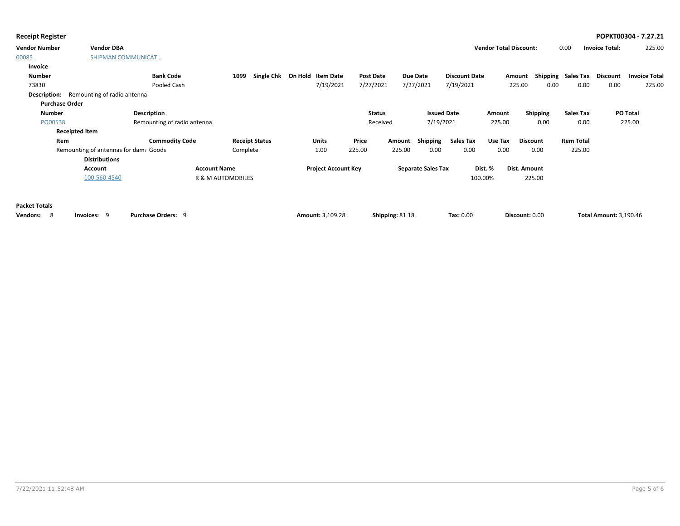| Receipt Register | POPKT00304 - 7.27.21 |
|------------------|----------------------|
|                  |                      |

| <b>Vendor Number</b>  | <b>Vendor DBA</b>                     |                             |                           |                             |                 |                           |                      | <b>Vendor Total Discount:</b> |                | 0.00                        | <b>Invoice Total:</b>         | 225.00               |
|-----------------------|---------------------------------------|-----------------------------|---------------------------|-----------------------------|-----------------|---------------------------|----------------------|-------------------------------|----------------|-----------------------------|-------------------------------|----------------------|
| 00085                 | <b>SHIPMAN COMMUNICAT</b>             |                             |                           |                             |                 |                           |                      |                               |                |                             |                               |                      |
| Invoice               |                                       |                             |                           |                             |                 |                           |                      |                               |                |                             |                               |                      |
| <b>Number</b>         |                                       | <b>Bank Code</b>            | <b>Single Chk</b><br>1099 | On Hold<br><b>Item Date</b> | Post Date       | Due Date                  | <b>Discount Date</b> | Amount                        |                | Shipping Sales Tax Discount |                               | <b>Invoice Total</b> |
| 73830                 |                                       | Pooled Cash                 |                           | 7/19/2021                   | 7/27/2021       | 7/27/2021                 | 7/19/2021            | 225.00                        | 0.00           | 0.00                        | 0.00                          | 225.00               |
| <b>Description:</b>   | Remounting of radio antenna           |                             |                           |                             |                 |                           |                      |                               |                |                             |                               |                      |
| <b>Purchase Order</b> |                                       |                             |                           |                             |                 |                           |                      |                               |                |                             |                               |                      |
| Number                |                                       | Description                 |                           |                             | <b>Status</b>   |                           | <b>Issued Date</b>   | Amount                        | Shipping       | Sales Tax                   | PO Total                      |                      |
| PO00538               |                                       | Remounting of radio antenna |                           |                             | Received        |                           | 7/19/2021            | 225.00                        | 0.00           | 0.00                        |                               | 225.00               |
|                       | <b>Receipted Item</b>                 |                             |                           |                             |                 |                           |                      |                               |                |                             |                               |                      |
| Item                  |                                       | <b>Commodity Code</b>       | <b>Receipt Status</b>     | Units                       | Price           | Shipping<br>Amount        | <b>Sales Tax</b>     | Use Tax                       | Discount       | <b>Item Total</b>           |                               |                      |
|                       | Remounting of antennas for dam; Goods |                             | Complete                  | 1.00                        | 225.00          | 225.00<br>0.00            | 0.00                 | 0.00                          | 0.00           | 225.00                      |                               |                      |
|                       | <b>Distributions</b>                  |                             |                           |                             |                 |                           |                      |                               |                |                             |                               |                      |
|                       | Account                               | <b>Account Name</b>         |                           | <b>Project Account Key</b>  |                 | <b>Separate Sales Tax</b> |                      | Dist. %                       | Dist. Amount   |                             |                               |                      |
|                       | 100-560-4540                          |                             | R & M AUTOMOBILES         |                             |                 |                           | 100.00%              |                               | 225.00         |                             |                               |                      |
|                       |                                       |                             |                           |                             |                 |                           |                      |                               |                |                             |                               |                      |
| <b>Packet Totals</b>  |                                       |                             |                           |                             |                 |                           |                      |                               |                |                             |                               |                      |
| -8<br>Vendors:        | <b>Invoices: 9</b>                    | <b>Purchase Orders: 9</b>   |                           | Amount: 3,109.28            | Shipping: 81.18 |                           | Tax: 0.00            |                               | Discount: 0.00 |                             | <b>Total Amount: 3,190.46</b> |                      |